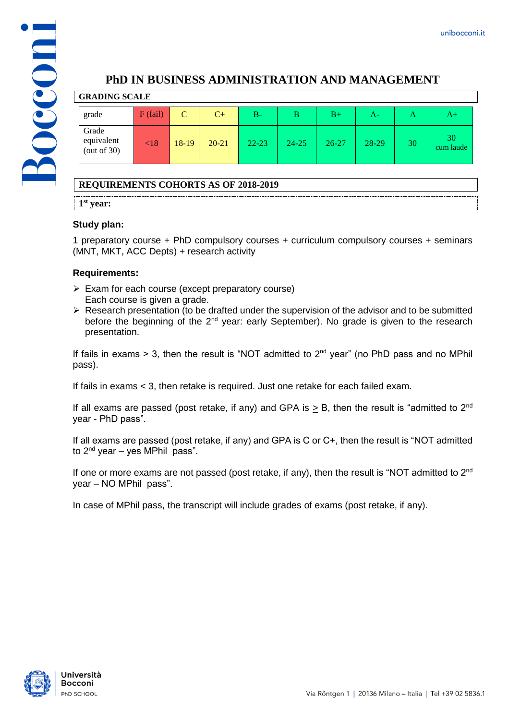

# **PhD IN BUSINESS ADMINISTRATION AND MANAGEMENT**

| <b>GRADING SCALE</b>                  |            |             |           |           |              |           |       |    |                 |
|---------------------------------------|------------|-------------|-----------|-----------|--------------|-----------|-------|----|-----------------|
| grade                                 | $F$ (fail) | $\mathbf C$ | $C+$      | В-        | <sub>B</sub> | $B+$      | A-    | А  | A+              |
| Grade<br>equivalent<br>(out of $30$ ) | $\leq 18$  | 18-19       | $20 - 21$ | $22 - 23$ | $24 - 25$    | $26 - 27$ | 28-29 | 30 | 30<br>cum laude |

## **REQUIREMENTS COHORTS AS OF 2018-2019**

**1 st year:**

## **Study plan:**

1 preparatory course + PhD compulsory courses + curriculum compulsory courses + seminars (MNT, MKT, ACC Depts) + research activity

## **Requirements:**

- ➢ Exam for each course (except preparatory course) Each course is given a grade.
- ➢ Research presentation (to be drafted under the supervision of the advisor and to be submitted before the beginning of the  $2<sup>nd</sup>$  year: early September). No grade is given to the research presentation.

If fails in exams  $> 3$ , then the result is "NOT admitted to  $2<sup>nd</sup>$  year" (no PhD pass and no MPhil pass).

If fails in exams  $\leq$  3, then retake is required. Just one retake for each failed exam.

If all exams are passed (post retake, if any) and GPA is  $>$  B, then the result is "admitted to 2<sup>nd</sup> year - PhD pass".

If all exams are passed (post retake, if any) and GPA is C or C+, then the result is "NOT admitted to  $2^{nd}$  year – yes MPhil pass".

If one or more exams are not passed (post retake, if any), then the result is "NOT admitted to  $2<sup>nd</sup>$ year – NO MPhil pass".

In case of MPhil pass, the transcript will include grades of exams (post retake, if any).